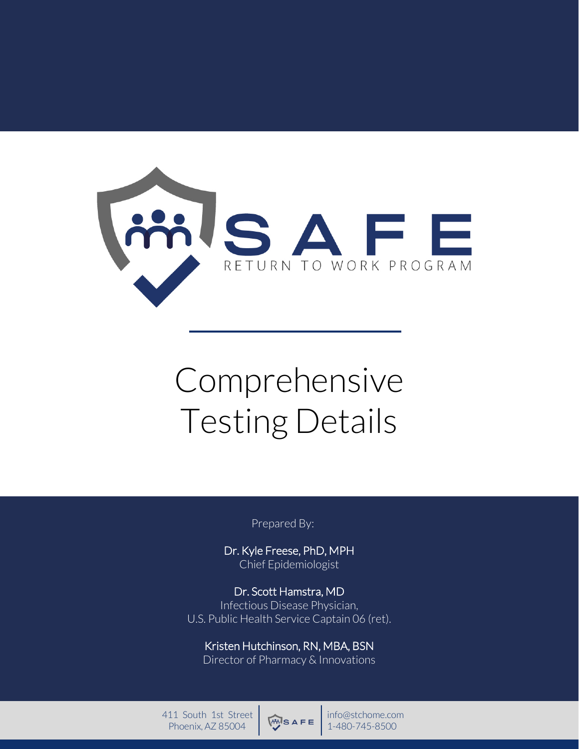

# Comprehensive Testing Details

Prepared By:

Dr. Kyle Freese, PhD, MPH Chief Epidemiologist

Dr. Scott Hamstra, MD Infectious Disease Physician, U.S. Public Health Service Captain 06 (ret).

Kristen Hutchinson, RN, MBA, BSN Director of Pharmacy & Innovations

**Confidential Burns 2000 Phoenix, AZ 85004 Proprietary 11-480-745-8500** 411 South 1st Street Phoenix, AZ 85004



info@stchome.com 1-480-745-8500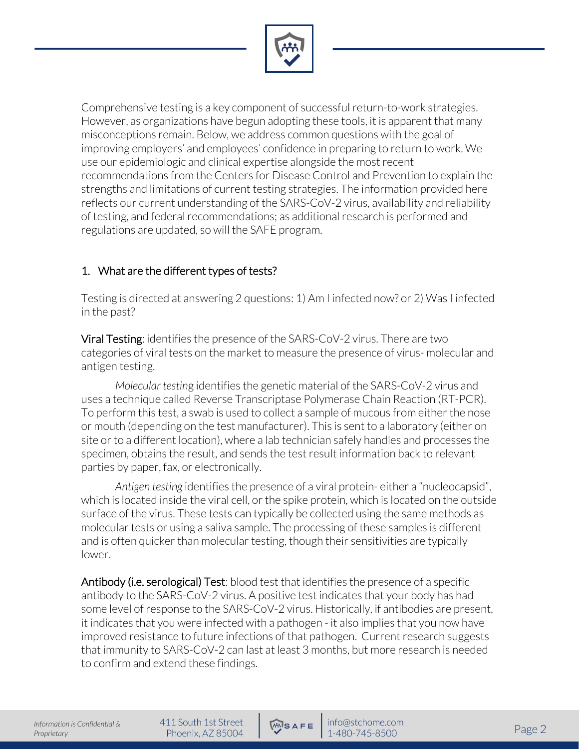

Comprehensive testing is a key component of successful return-to-work strategies. However, as organizations have begun adopting these tools, it is apparent that many misconceptions remain. Below, we address common questions with the goal of improving employers' and employees' confidence in preparing to return to work. We use our epidemiologic and clinical expertise alongside the most recent recommendations from the Centers for Disease Control and Prevention to explain the strengths and limitations of current testing strategies. The information provided here reflects our current understanding of the SARS-CoV-2 virus, availability and reliability of testing, and federal recommendations; as additional research is performed and regulations are updated, so will the SAFE program.

## 1. What are the different types of tests?

Testing is directed at answering 2 questions: 1) Am I infected now? or 2) Was I infected in the past?

Viral Testing: identifies the presence of the SARS-CoV-2 virus. There are two categories of viral tests on the market to measure the presence of virus- molecular and antigen testing.

*Molecular testin*g identifies the genetic material of the SARS-CoV-2 virus and uses a technique called Reverse Transcriptase Polymerase Chain Reaction (RT-PCR). To perform this test, a swab is used to collect a sample of mucous from either the nose or mouth (depending on the test manufacturer). This is sent to a laboratory (either on site or to a different location), where a lab technician safely handles and processes the specimen, obtains the result, and sends the test result information back to relevant parties by paper, fax, or electronically.

*Antigen testing* identifies the presence of a viral protein- either a "nucleocapsid", which is located inside the viral cell, or the spike protein, which is located on the outside surface of the virus. These tests can typically be collected using the same methods as molecular tests or using a saliva sample. The processing of these samples is different and is often quicker than molecular testing, though their sensitivities are typically lower.

Antibody (i.e. serological) Test: blood test that identifies the presence of a specific antibody to the SARS-CoV-2 virus. A positive test indicates that your body has had some level of response to the SARS-CoV-2 virus. Historically, if antibodies are present, it indicates that you were infected with a pathogen - it also implies that you now have improved resistance to future infections of that pathogen. Current research suggests that immunity to SARS-CoV-2 can last at least 3 months, but more research is needed to confirm and extend these findings.

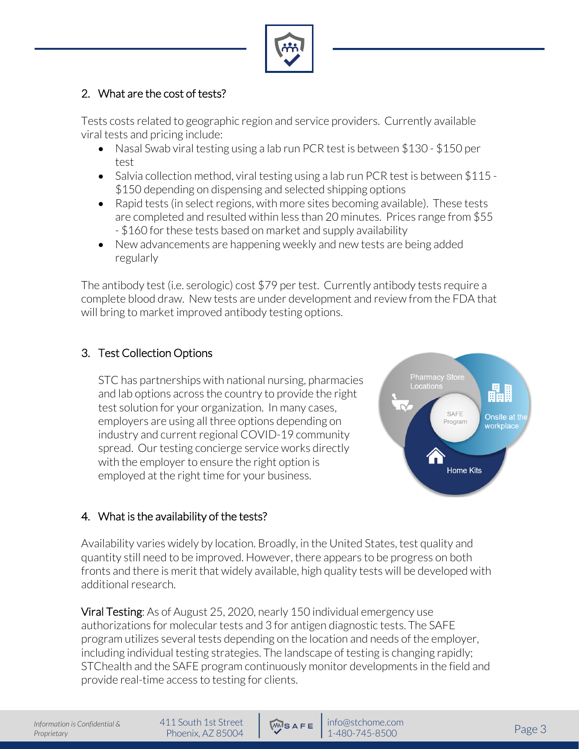

# 2. What are the cost of tests?

Tests costs related to geographic region and service providers. Currently available viral tests and pricing include:

- Nasal Swab viral testing using a lab run PCR test is between \$130 \$150 per test
- Salvia collection method, viral testing using a lab run PCR test is between \$115 -\$150 depending on dispensing and selected shipping options
- Rapid tests (in select regions, with more sites becoming available). These tests are completed and resulted within less than 20 minutes. Prices range from \$55 - \$160 for these tests based on market and supply availability
- New advancements are happening weekly and new tests are being added regularly

The antibody test (i.e. serologic) cost \$79 per test. Currently antibody tests require a complete blood draw. New tests are under development and review from the FDA that will bring to market improved antibody testing options.

# 3. Test Collection Options

STC has partnerships with national nursing, pharmacies and lab options across the country to provide the right test solution for your organization. In many cases, employers are using all three options depending on industry and current regional COVID-19 community spread. Our testing concierge service works directly with the employer to ensure the right option is employed at the right time for your business.



# 4. What is the availability of the tests?

Availability varies widely by location. Broadly, in the United States, test quality and quantity still need to be improved. However, there appears to be progress on both fronts and there is merit that widely available, high quality tests will be developed with additional research.

Viral Testing: As of August 25, 2020, nearly 150 individual emergency use authorizations for molecular tests and 3 for antigen diagnostic tests. The SAFE program utilizes several tests depending on the location and needs of the employer, including individual testing strategies. The landscape of testing is changing rapidly; STChealth and the SAFE program continuously monitor developments in the field and provide real-time access to testing for clients.

411 South 1st Street

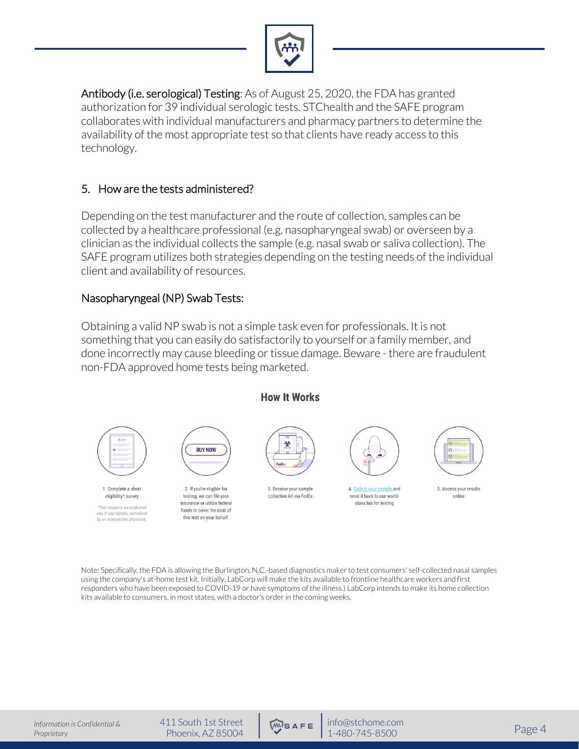

Antibody (i.e. serological) Testing: As of August 25, 2020, the FDA has granted authorization for 39 individual serologic tests. STChealth and the SAFE program collaborates with individual manufacturers and pharmacy partners to determine the availability of the most appropriate test so that clients have ready access to this technology.

#### 5. How are the tests administered?

Depending on the test manufacturer and the route of collection, samples can be collected by a healthcare professional (e.g. nasopharyngeal swab) or overseen by a clinician as the individual collects the sample (e.g. nasal swab or saliva collection). The SAFE program utilizes both strategies depending on the testing needs of the individual client and availability of resources.

#### Nasopharyngeal (NP) Swab Tests:

Obtaining a valid NP swab is not a simple task even for professionals. It is not something that you can easily do satisfactorily to yourself or a family member, and done incorrectly may cause bleeding or tissue damage. Beware - there are fraudulent non-FDA approved home tests being marketed.



Note: Specifically, the FDA is allowing the Burlington, N.C.-based diagnostics maker to test consumers' self-collected nasal samples using the company's at-home test kit. Initially, LabCorp will make the kits available to frontline healthcare workers and first responders who have been exposed to COVID-19 or have symptoms of the illness.) LabCorp intends to make its home collection kits available to consumers, in most states, with a doctor's order in the coming weeks.

411 South 1st Street

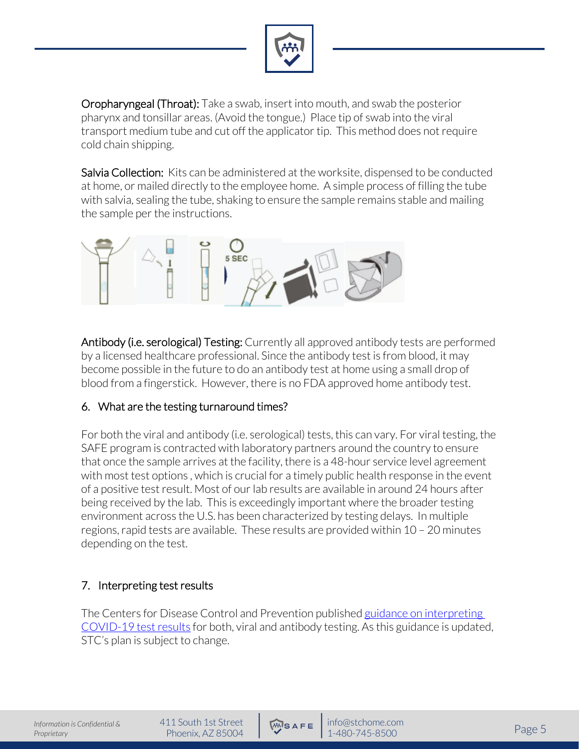

Oropharyngeal (Throat): Take a swab, insert into mouth, and swab the posterior pharynx and tonsillar areas. (Avoid the tongue.) Place tip of swab into the viral transport medium tube and cut off the applicator tip. This method does not require cold chain shipping.

Salvia Collection: Kits can be administered at the worksite, dispensed to be conducted at home, or mailed directly to the employee home. A simple process of filling the tube with salvia, sealing the tube, shaking to ensure the sample remains stable and mailing the sample per the instructions.



Antibody (i.e. serological) Testing: Currently all approved antibody tests are performed by a licensed healthcare professional. Since the antibody test is from blood, it may become possible in the future to do an antibody test at home using a small drop of blood from a fingerstick. However, there is no FDA approved home antibody test.

### 6. What are the testing turnaround times?

For both the viral and antibody (i.e. serological) tests, this can vary. For viral testing, the SAFE program is contracted with laboratory partners around the country to ensure that once the sample arrives at the facility, there is a 48-hour service level agreement with most test options , which is crucial for a timely public health response in the event of a positive test result. Most of our lab results are available in around 24 hours after being received by the lab. This is exceedingly important where the broader testing environment across the U.S. has been characterized by testing delays. In multiple regions, rapid tests are available. These results are provided within 10 – 20 minutes depending on the test.

# 7. Interpreting test results

The Centers for Disease Control and Prevention published guidance on interpreting COVID-19 test results for both, viral and antibody testing. As this guidance is updated, STC's plan is subject to change.

411 South 1st Street

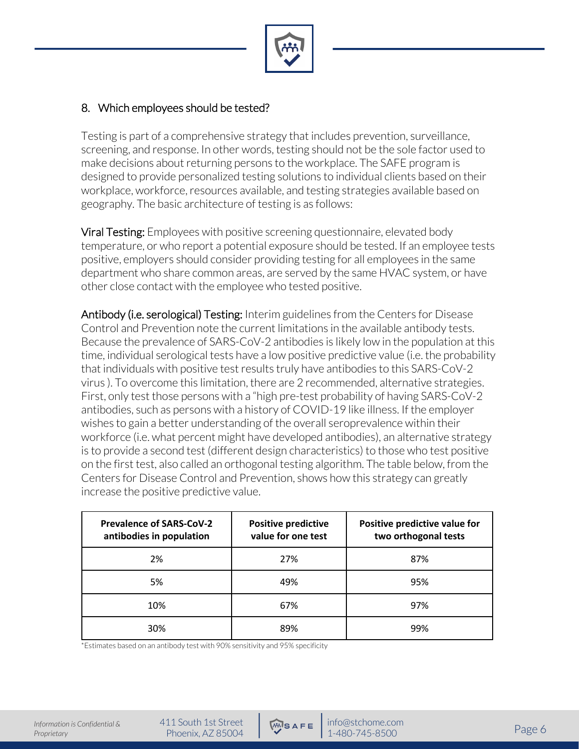

## 8. Which employees should be tested?

Testing is part of a comprehensive strategy that includes prevention, surveillance, screening, and response. In other words, testing should not be the sole factor used to make decisions about returning persons to the workplace. The SAFE program is designed to provide personalized testing solutions to individual clients based on their workplace, workforce, resources available, and testing strategies available based on geography. The basic architecture of testing is as follows:

Viral Testing: Employees with positive screening questionnaire, elevated body temperature, or who report a potential exposure should be tested. If an employee tests positive, employers should consider providing testing for all employees in the same department who share common areas, are served by the same HVAC system, or have other close contact with the employee who tested positive.

Antibody (i.e. serological) Testing: Interim guidelines from the Centers for Disease Control and Prevention note the current limitations in the available antibody tests. Because the prevalence of SARS-CoV-2 antibodies is likely low in the population at this time, individual serological tests have a low positive predictive value (i.e. the probability that individuals with positive test results truly have antibodies to this SARS-CoV-2 virus ). To overcome this limitation, there are 2 recommended, alternative strategies. First, only test those persons with a "high pre-test probability of having SARS-CoV-2 antibodies, such as persons with a history of COVID-19 like illness. If the employer wishes to gain a better understanding of the overall seroprevalence within their workforce (i.e. what percent might have developed antibodies), an alternative strategy is to provide a second test (different design characteristics) to those who test positive on the first test, also called an orthogonal testing algorithm. The table below, from the Centers for Disease Control and Prevention, shows how this strategy can greatly increase the positive predictive value.

| <b>Prevalence of SARS-CoV-2</b><br>antibodies in population | <b>Positive predictive</b><br>value for one test | Positive predictive value for<br>two orthogonal tests |
|-------------------------------------------------------------|--------------------------------------------------|-------------------------------------------------------|
| 2%                                                          | 27%                                              | 87%                                                   |
| 5%                                                          | 49%                                              | 95%                                                   |
| 10%                                                         | 67%                                              | 97%                                                   |
| 30%                                                         | 89%                                              | 99%                                                   |

\*Estimates based on an antibody test with 90% sensitivity and 95% specificity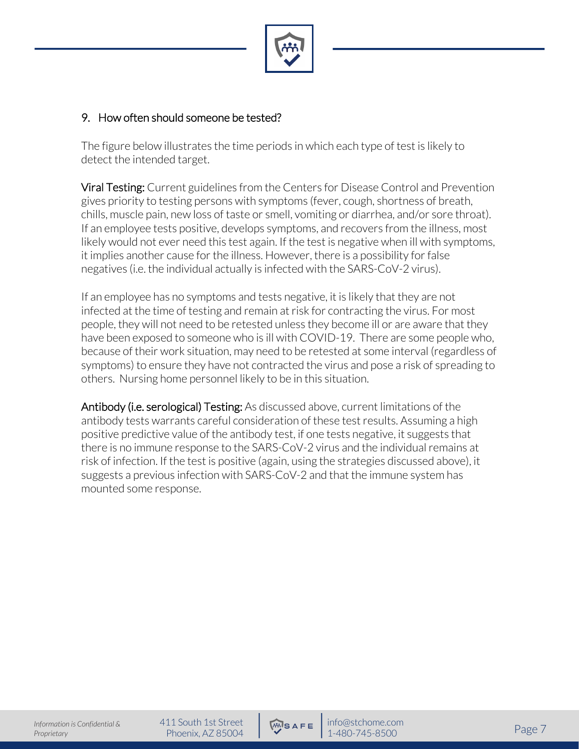

#### 9. How often should someone be tested?

The figure below illustrates the time periods in which each type of test is likely to detect the intended target.

Viral Testing: Current guidelines from the Centers for Disease Control and Prevention gives priority to testing persons with symptoms (fever, cough, shortness of breath, chills, muscle pain, new loss of taste or smell, vomiting or diarrhea, and/or sore throat). If an employee tests positive, develops symptoms, and recovers from the illness, most likely would not ever need this test again. If the test is negative when ill with symptoms, it implies another cause for the illness. However, there is a possibility for false negatives (i.e. the individual actually is infected with the SARS-CoV-2 virus).

If an employee has no symptoms and tests negative, it is likely that they are not infected at the time of testing and remain at risk for contracting the virus. For most people, they will not need to be retested unless they become ill or are aware that they have been exposed to someone who is ill with COVID-19. There are some people who, because of their work situation, may need to be retested at some interval (regardless of symptoms) to ensure they have not contracted the virus and pose a risk of spreading to others. Nursing home personnel likely to be in this situation.

Antibody (i.e. serological) Testing: As discussed above, current limitations of the antibody tests warrants careful consideration of these test results. Assuming a high positive predictive value of the antibody test, if one tests negative, it suggests that there is no immune response to the SARS-CoV-2 virus and the individual remains at risk of infection. If the test is positive (again, using the strategies discussed above), it suggests a previous infection with SARS-CoV-2 and that the immune system has mounted some response.